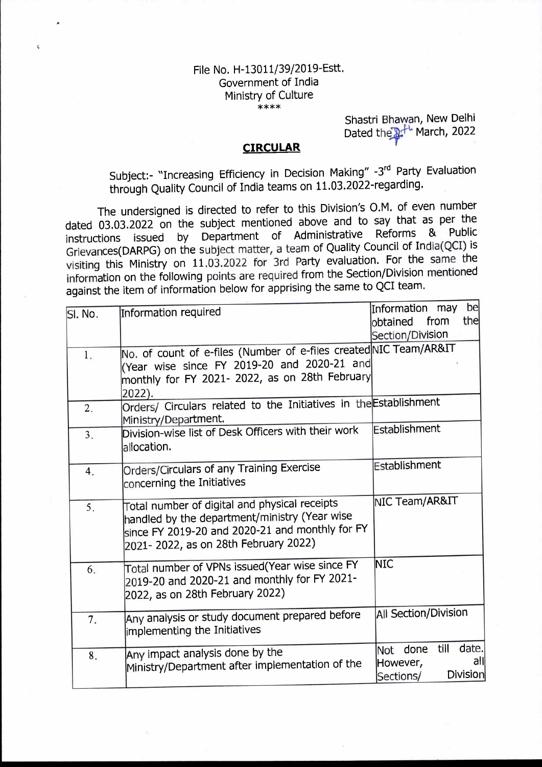## File No. H-13011/39/2019-Estt. Government of India Ministry of Culture \*\*\*\*

(

Shastri Bhawa n, New Delhi Dated the <sup>14</sup> March, 2022

## **CIRCULAR**

Subject:- "Increasing Efficiency in Decision Making" -3rd Party Evaluation through Quality Council of India teams on 11.03.2022-regarding.

The undersigned is directed to refer to this Division's O.M. of even number dated 03.03.2022'on the subject mentioned above and to say that as per the instructions issued by Department of Administrative Reforms & Public Grievances(DARPG) on the subject matter, a team of Quality Council of India(QCI) is visiting this Ministry on 11.03.2022 for 3rd Party evaluation. For the same the information on the following points are required from the Section/Division mentioned against the item of information below for apprising the same to QCI team'

|                  |                                                                                           |                         | bel             |
|------------------|-------------------------------------------------------------------------------------------|-------------------------|-----------------|
| SI. No.          | Information required                                                                      | Information may<br>from | the             |
|                  |                                                                                           | obtained                |                 |
|                  |                                                                                           | Section/Division        |                 |
| $\overline{1}$ . | No. of count of e-files (Number of e-files created NIC Team/AR&IT                         |                         |                 |
|                  | (Year wise since FY 2019-20 and 2020-21 and                                               |                         |                 |
|                  | monthly for FY 2021- 2022, as on 28th February                                            |                         |                 |
|                  | 2022).                                                                                    |                         |                 |
| 2.               | Orders/ Circulars related to the Initiatives in the Establishment<br>Ministry/Department. |                         |                 |
| 3.               | Division-wise list of Desk Officers with their work                                       | Establishment           |                 |
|                  | allocation.                                                                               |                         |                 |
|                  |                                                                                           |                         |                 |
| 4.               | Orders/Circulars of any Training Exercise                                                 | Establishment           |                 |
|                  | concerning the Initiatives                                                                |                         |                 |
|                  | Total number of digital and physical receipts                                             | NIC Team/AR&IT          |                 |
| 5.               | handled by the department/ministry (Year wise                                             |                         |                 |
|                  | since FY 2019-20 and 2020-21 and monthly for FY                                           |                         |                 |
|                  | 2021- 2022, as on 28th February 2022)                                                     |                         |                 |
|                  |                                                                                           |                         |                 |
| 6.               | Total number of VPNs issued(Year wise since FY                                            | <b>NIC</b>              |                 |
|                  | 2019-20 and 2020-21 and monthly for FY 2021-                                              |                         |                 |
|                  | 2022, as on 28th February 2022)                                                           |                         |                 |
|                  | Any analysis or study document prepared before                                            | All Section/Division    |                 |
| 7.               | implementing the Initiatives                                                              |                         |                 |
|                  |                                                                                           |                         |                 |
| 8.               | Any impact analysis done by the                                                           | till<br>Not done        | date.           |
|                  | Ministry/Department after implementation of the                                           | However,                | all             |
|                  |                                                                                           | Sections/               | <b>Division</b> |